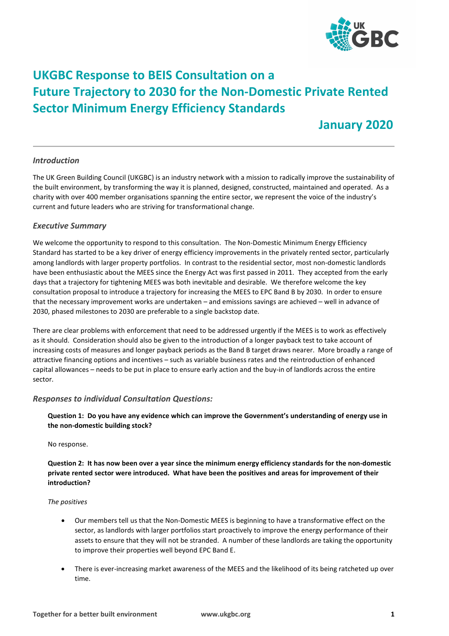

# **UKGBC Response to BEIS Consultation on a Future Trajectory to 2030 for the Non-Domestic Private Rented Sector Minimum Energy Efficiency Standards**

 **January 2020**

### *Introduction*

The UK Green Building Council (UKGBC) is an industry network with a mission to radically improve the sustainability of the built environment, by transforming the way it is planned, designed, constructed, maintained and operated. As a charity with over 400 member organisations spanning the entire sector, we represent the voice of the industry's current and future leaders who are striving for transformational change.

### *Executive Summary*

We welcome the opportunity to respond to this consultation. The Non-Domestic Minimum Energy Efficiency Standard has started to be a key driver of energy efficiency improvements in the privately rented sector, particularly among landlords with larger property portfolios. In contrast to the residential sector, most non-domestic landlords have been enthusiastic about the MEES since the Energy Act was first passed in 2011. They accepted from the early days that a trajectory for tightening MEES was both inevitable and desirable. We therefore welcome the key consultation proposal to introduce a trajectory for increasing the MEES to EPC Band B by 2030. In order to ensure that the necessary improvement works are undertaken – and emissions savings are achieved – well in advance of 2030, phased milestones to 2030 are preferable to a single backstop date.

There are clear problems with enforcement that need to be addressed urgently if the MEES is to work as effectively as it should. Consideration should also be given to the introduction of a longer payback test to take account of increasing costs of measures and longer payback periods as the Band B target draws nearer. More broadly a range of attractive financing options and incentives – such as variable business rates and the reintroduction of enhanced capital allowances – needs to be put in place to ensure early action and the buy-in of landlords across the entire sector.

### *Responses to individual Consultation Questions:*

**Question 1: Do you have any evidence which can improve the Government's understanding of energy use in the non-domestic building stock?**

No response.

**Question 2: It has now been over a year since the minimum energy efficiency standards for the non-domestic private rented sector were introduced. What have been the positives and areas for improvement of their introduction?**

### *The positives*

- Our members tell us that the Non-Domestic MEES is beginning to have a transformative effect on the sector, as landlords with larger portfolios start proactively to improve the energy performance of their assets to ensure that they will not be stranded. A number of these landlords are taking the opportunity to improve their properties well beyond EPC Band E.
- There is ever-increasing market awareness of the MEES and the likelihood of its being ratcheted up over time.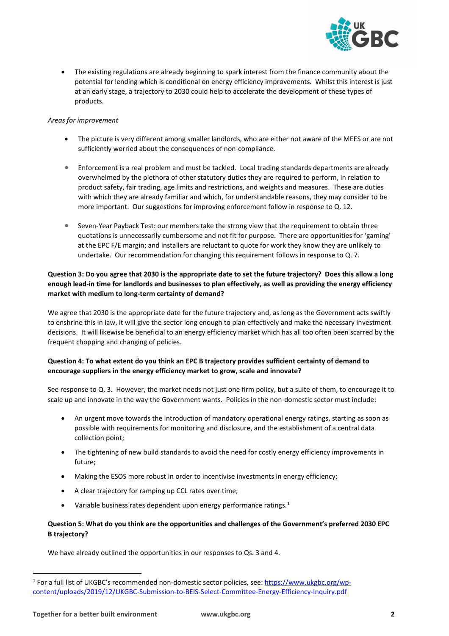

• The existing regulations are already beginning to spark interest from the finance community about the potential for lending which is conditional on energy efficiency improvements. Whilst this interest is just at an early stage, a trajectory to 2030 could help to accelerate the development of these types of products.

#### *Areas for improvement*

- The picture is very different among smaller landlords, who are either not aware of the MEES or are not sufficiently worried about the consequences of non-compliance.
- Enforcement is a real problem and must be tackled. Local trading standards departments are already overwhelmed by the plethora of other statutory duties they are required to perform, in relation to product safety, fair trading, age limits and restrictions, and weights and measures. These are duties with which they are already familiar and which, for understandable reasons, they may consider to be more important. Our suggestions for improving enforcement follow in response to Q. 12.
- Seven-Year Payback Test: our members take the strong view that the requirement to obtain three quotations is unnecessarily cumbersome and not fit for purpose. There are opportunities for 'gaming' at the EPC F/E margin; and installers are reluctant to quote for work they know they are unlikely to undertake. Our recommendation for changing this requirement follows in response to Q. 7.

### **Question 3: Do you agree that 2030 is the appropriate date to set the future trajectory? Does this allow a long enough lead-in time for landlords and businesses to plan effectively, as well as providing the energy efficiency market with medium to long-term certainty of demand?**

We agree that 2030 is the appropriate date for the future trajectory and, as long as the Government acts swiftly to enshrine this in law, it will give the sector long enough to plan effectively and make the necessary investment decisions. It will likewise be beneficial to an energy efficiency market which has all too often been scarred by the frequent chopping and changing of policies.

### **Question 4: To what extent do you think an EPC B trajectory provides sufficient certainty of demand to encourage suppliers in the energy efficiency market to grow, scale and innovate?**

See response to Q. 3. However, the market needs not just one firm policy, but a suite of them, to encourage it to scale up and innovate in the way the Government wants. Policies in the non-domestic sector must include:

- An urgent move towards the introduction of mandatory operational energy ratings, starting as soon as possible with requirements for monitoring and disclosure, and the establishment of a central data collection point;
- The tightening of new build standards to avoid the need for costly energy efficiency improvements in future;
- Making the ESOS more robust in order to incentivise investments in energy efficiency;
- A clear trajectory for ramping up CCL rates over time;
- Variable business rates dependent upon energy performance ratings. $1$

### **Question 5: What do you think are the opportunities and challenges of the Government's preferred 2030 EPC B trajectory?**

We have already outlined the opportunities in our responses to Qs. 3 and 4.

<span id="page-1-0"></span><sup>&</sup>lt;sup>1</sup> For a full list of UKGBC's recommended non-domestic sector policies, see: [https://www.ukgbc.org/wp](https://www.ukgbc.org/wp-content/uploads/2019/12/UKGBC-Submission-to-BEIS-Select-Committee-Energy-Efficiency-Inquiry.pdf)[content/uploads/2019/12/UKGBC-Submission-to-BEIS-Select-Committee-Energy-Efficiency-Inquiry.pdf](https://www.ukgbc.org/wp-content/uploads/2019/12/UKGBC-Submission-to-BEIS-Select-Committee-Energy-Efficiency-Inquiry.pdf)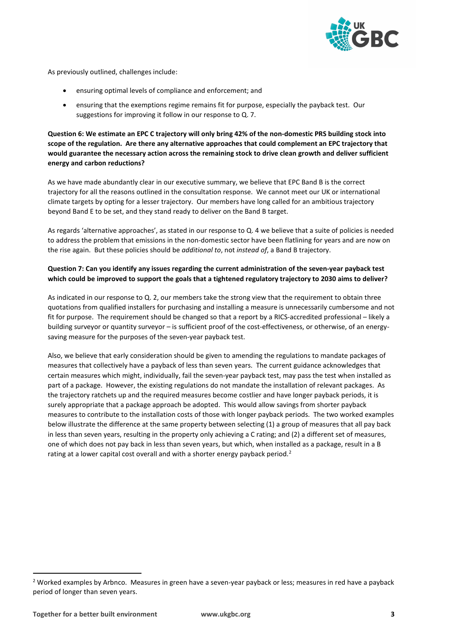

As previously outlined, challenges include:

- ensuring optimal levels of compliance and enforcement; and
- ensuring that the exemptions regime remains fit for purpose, especially the payback test. Our suggestions for improving it follow in our response to Q. 7.

**Question 6: We estimate an EPC C trajectory will only bring 42% of the non-domestic PRS building stock into scope of the regulation. Are there any alternative approaches that could complement an EPC trajectory that would guarantee the necessary action across the remaining stock to drive clean growth and deliver sufficient energy and carbon reductions?**

As we have made abundantly clear in our executive summary, we believe that EPC Band B is the correct trajectory for all the reasons outlined in the consultation response. We cannot meet our UK or international climate targets by opting for a lesser trajectory. Our members have long called for an ambitious trajectory beyond Band E to be set, and they stand ready to deliver on the Band B target.

As regards 'alternative approaches', as stated in our response to Q. 4 we believe that a suite of policies is needed to address the problem that emissions in the non-domestic sector have been flatlining for years and are now on the rise again. But these policies should be *additional to*, not *instead of*, a Band B trajectory.

### **Question 7: Can you identify any issues regarding the current administration of the seven-year payback test which could be improved to support the goals that a tightened regulatory trajectory to 2030 aims to deliver?**

As indicated in our response to Q. 2, our members take the strong view that the requirement to obtain three quotations from qualified installers for purchasing and installing a measure is unnecessarily cumbersome and not fit for purpose. The requirement should be changed so that a report by a RICS-accredited professional – likely a building surveyor or quantity surveyor – is sufficient proof of the cost-effectiveness, or otherwise, of an energysaving measure for the purposes of the seven-year payback test.

Also, we believe that early consideration should be given to amending the regulations to mandate packages of measures that collectively have a payback of less than seven years. The current guidance acknowledges that certain measures which might, individually, fail the seven-year payback test, may pass the test when installed as part of a package. However, the existing regulations do not mandate the installation of relevant packages. As the trajectory ratchets up and the required measures become costlier and have longer payback periods, it is surely appropriate that a package approach be adopted. This would allow savings from shorter payback measures to contribute to the installation costs of those with longer payback periods. The two worked examples below illustrate the difference at the same property between selecting (1) a group of measures that all pay back in less than seven years, resulting in the property only achieving a C rating; and (2) a different set of measures, one of which does not pay back in less than seven years, but which, when installed as a package, result in a B rating at a lower capital cost overall and with a shorter energy payback period.<sup>[2](#page-2-0)</sup>

<span id="page-2-0"></span><sup>&</sup>lt;sup>2</sup> Worked examples by Arbnco. Measures in green have a seven-year payback or less; measures in red have a payback period of longer than seven years.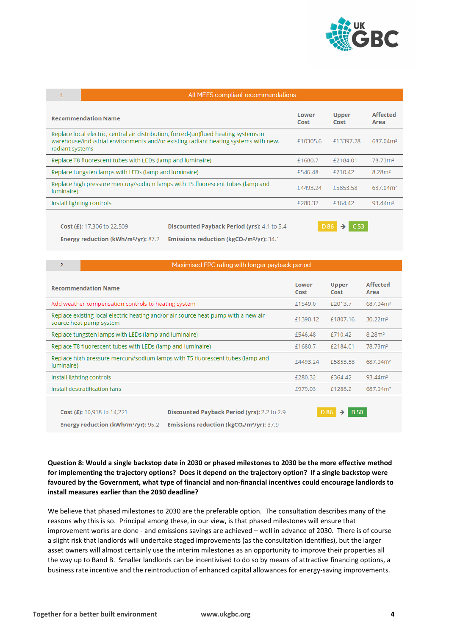

 $\mathcal{P}$ 

### All MEES compliant recommendations

| <b>Recommendation Name</b>                                                                                                                                                                      | Lower<br>Cost | <b>Upper</b><br>Cost | <b>Affected</b><br>Area |
|-------------------------------------------------------------------------------------------------------------------------------------------------------------------------------------------------|---------------|----------------------|-------------------------|
| Replace local electric, central air distribution, forced-(un)flued heating systems in<br>warehouse/industrial environments and/or existing radiant heating systems with new,<br>radiant systems | £10305.6      | £13397.28            | 687.04m <sup>2</sup>    |
| Replace T8 fluorescent tubes with LEDs (lamp and luminaire)                                                                                                                                     | £1680.7       | £2184.01             | 78.73m <sup>2</sup>     |
| Replace tungsten lamps with LEDs (lamp and luminaire)                                                                                                                                           | £546.48       | £710.42              | 8.28 <sup>2</sup>       |
| Replace high pressure mercury/sodium lamps with T5 fluorescent tubes (lamp and<br>luminaire)                                                                                                    | £4493.24      | £5853.58             | 687.04m <sup>2</sup>    |
| Install lighting controls                                                                                                                                                                       | £280.32       | £364.42              | 93.44m <sup>2</sup>     |
|                                                                                                                                                                                                 |               |                      |                         |

Cost (£): 17,306 to 22,509

Discounted Payback Period (yrs): 4.1 to 5.4

Energy reduction (kWh/m<sup>2</sup>/yr): 87.2

Emissions reduction (kgCO2/m<sup>2</sup>/yr): 34.1

# $DB6 \rightarrow C53$

## Maximised EPC rating with longer payback period

| <b>Recommendation Name</b>                                                                                    |                                                                      | Lower<br>Cost       | <b>Upper</b><br>Cost | <b>Affected</b><br>Area |
|---------------------------------------------------------------------------------------------------------------|----------------------------------------------------------------------|---------------------|----------------------|-------------------------|
| Add weather compensation controls to heating system                                                           |                                                                      | £1549.0             | £2013.7              | 687.04m <sup>2</sup>    |
| Replace existing local electric heating and/or air source heat pump with a new air<br>source heat pump system |                                                                      | £1390.12            | £1807.16             | $30.22 \, \text{m}^2$   |
| Replace tungsten lamps with LEDs (lamp and luminaire)                                                         |                                                                      | £546.48             | £710.42              | 8.28 <sup>2</sup>       |
| Replace T8 fluorescent tubes with LEDs (lamp and luminaire)                                                   |                                                                      | £1680.7             | £2184.01             | 78.73m <sup>2</sup>     |
| Replace high pressure mercury/sodium lamps with T5 fluorescent tubes (lamp and<br>luminaire)                  |                                                                      | £4493.24            | £5853.58             | 687.04m <sup>2</sup>    |
| Install lighting controls                                                                                     |                                                                      | £280.32             | £364.42              | 93.44m <sup>2</sup>     |
| Install destratification fans                                                                                 |                                                                      | £979.03             | £1288.2              | 687.04m <sup>2</sup>    |
|                                                                                                               |                                                                      |                     |                      |                         |
| Cost (£): 10,918 to 14,221                                                                                    | Discounted Payback Period (yrs): 2.2 to 2.9                          | <b>B</b> 50<br>D 86 |                      |                         |
| <b>Energy reduction (kWh/m<sup>2</sup>/yr): 96.2</b>                                                          | <b>Emissions reduction (kgCO<sub>2</sub>/m<sup>2</sup>/yr): 37.9</b> |                     |                      |                         |

**Question 8: Would a single backstop date in 2030 or phased milestones to 2030 be the more effective method for implementing the trajectory options? Does it depend on the trajectory option? If a single backstop were favoured by the Government, what type of financial and non-financial incentives could encourage landlords to install measures earlier than the 2030 deadline?**

We believe that phased milestones to 2030 are the preferable option. The consultation describes many of the reasons why this is so. Principal among these, in our view, is that phased milestones will ensure that improvement works are done - and emissions savings are achieved – well in advance of 2030. There is of course a slight risk that landlords will undertake staged improvements (as the consultation identifies), but the larger asset owners will almost certainly use the interim milestones as an opportunity to improve their properties all the way up to Band B. Smaller landlords can be incentivised to do so by means of attractive financing options, a business rate incentive and the reintroduction of enhanced capital allowances for energy-saving improvements.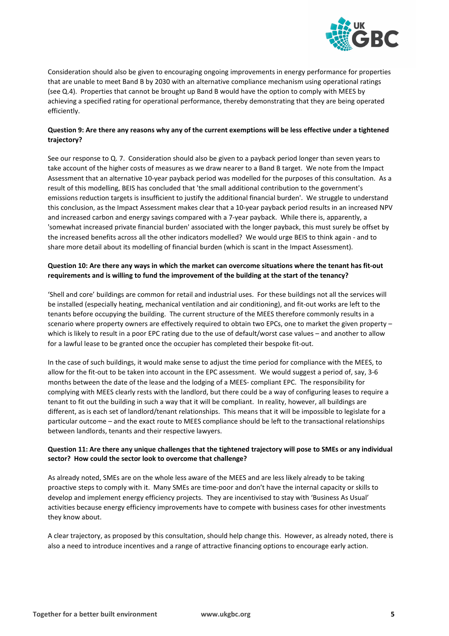

Consideration should also be given to encouraging ongoing improvements in energy performance for properties that are unable to meet Band B by 2030 with an alternative compliance mechanism using operational ratings (see Q.4). Properties that cannot be brought up Band B would have the option to comply with MEES by achieving a specified rating for operational performance, thereby demonstrating that they are being operated efficiently.

### **Question 9: Are there any reasons why any of the current exemptions will be less effective under a tightened trajectory?**

See our response to Q. 7. Consideration should also be given to a payback period longer than seven years to take account of the higher costs of measures as we draw nearer to a Band B target. We note from the Impact Assessment that an alternative 10-year payback period was modelled for the purposes of this consultation. As a result of this modelling, BEIS has concluded that 'the small additional contribution to the government's emissions reduction targets is insufficient to justify the additional financial burden'. We struggle to understand this conclusion, as the Impact Assessment makes clear that a 10-year payback period results in an increased NPV and increased carbon and energy savings compared with a 7-year payback. While there is, apparently, a 'somewhat increased private financial burden' associated with the longer payback, this must surely be offset by the increased benefits across all the other indicators modelled? We would urge BEIS to think again - and to share more detail about its modelling of financial burden (which is scant in the Impact Assessment).

### Question 10: Are there any ways in which the market can overcome situations where the tenant has fit-out **requirements and is willing to fund the improvement of the building at the start of the tenancy?**

'Shell and core' buildings are common for retail and industrial uses. For these buildings not all the services will be installed (especially heating, mechanical ventilation and air conditioning), and fit-out works are left to the tenants before occupying the building. The current structure of the MEES therefore commonly results in a scenario where property owners are effectively required to obtain two EPCs, one to market the given property – which is likely to result in a poor EPC rating due to the use of default/worst case values – and another to allow for a lawful lease to be granted once the occupier has completed their bespoke fit-out.

In the case of such buildings, it would make sense to adjust the time period for compliance with the MEES, to allow for the fit-out to be taken into account in the EPC assessment. We would suggest a period of, say, 3-6 months between the date of the lease and the lodging of a MEES- compliant EPC. The responsibility for complying with MEES clearly rests with the landlord, but there could be a way of configuring leases to require a tenant to fit out the building in such a way that it will be compliant. In reality, however, all buildings are different, as is each set of landlord/tenant relationships. This means that it will be impossible to legislate for a particular outcome – and the exact route to MEES compliance should be left to the transactional relationships between landlords, tenants and their respective lawyers.

### Question 11: Are there any unique challenges that the tightened trajectory will pose to SMEs or any individual **sector? How could the sector look to overcome that challenge?**

As already noted, SMEs are on the whole less aware of the MEES and are less likely already to be taking proactive steps to comply with it. Many SMEs are time-poor and don't have the internal capacity or skills to develop and implement energy efficiency projects. They are incentivised to stay with 'Business As Usual' activities because energy efficiency improvements have to compete with business cases for other investments they know about.

A clear trajectory, as proposed by this consultation, should help change this. However, as already noted, there is also a need to introduce incentives and a range of attractive financing options to encourage early action.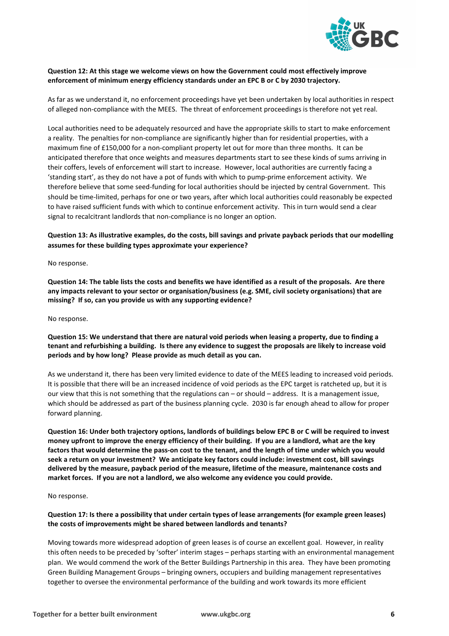

#### **Question 12: At this stage we welcome views on how the Government could most effectively improve enforcement of minimum energy efficiency standards under an EPC B or C by 2030 trajectory.**

As far as we understand it, no enforcement proceedings have yet been undertaken by local authorities in respect of alleged non-compliance with the MEES. The threat of enforcement proceedings is therefore not yet real.

Local authorities need to be adequately resourced and have the appropriate skills to start to make enforcement a reality. The penalties for non-compliance are significantly higher than for residential properties, with a maximum fine of £150,000 for a non-compliant property let out for more than three months. It can be anticipated therefore that once weights and measures departments start to see these kinds of sums arriving in their coffers, levels of enforcement will start to increase. However, local authorities are currently facing a 'standing start', as they do not have a pot of funds with which to pump-prime enforcement activity. We therefore believe that some seed-funding for local authorities should be injected by central Government. This should be time-limited, perhaps for one or two years, after which local authorities could reasonably be expected to have raised sufficient funds with which to continue enforcement activity. This in turn would send a clear signal to recalcitrant landlords that non-compliance is no longer an option.

### **Question 13: As illustrative examples, do the costs, bill savings and private payback periods that our modelling assumes for these building types approximate your experience?**

No response.

**Question 14: The table lists the costs and benefits we have identified as a result of the proposals. Are there any impacts relevant to your sector or organisation/business (e.g. SME, civil society organisations) that are missing? If so, can you provide us with any supporting evidence?** 

No response.

### **Question 15: We understand that there are natural void periods when leasing a property, due to finding a tenant and refurbishing a building. Is there any evidence to suggest the proposals are likely to increase void periods and by how long? Please provide as much detail as you can.**

As we understand it, there has been very limited evidence to date of the MEES leading to increased void periods. It is possible that there will be an increased incidence of void periods as the EPC target is ratcheted up, but it is our view that this is not something that the regulations can – or should – address. It is a management issue, which should be addressed as part of the business planning cycle. 2030 is far enough ahead to allow for proper forward planning.

**Question 16: Under both trajectory options, landlords of buildings below EPC B or C will be required to invest money upfront to improve the energy efficiency of their building. If you are a landlord, what are the key factors that would determine the pass-on cost to the tenant, and the length of time under which you would seek a return on your investment? We anticipate key factors could include: investment cost, bill savings delivered by the measure, payback period of the measure, lifetime of the measure, maintenance costs and market forces. If you are not a landlord, we also welcome any evidence you could provide.**

No response.

### **Question 17: Is there a possibility that under certain types of lease arrangements (for example green leases) the costs of improvements might be shared between landlords and tenants?**

Moving towards more widespread adoption of green leases is of course an excellent goal. However, in reality this often needs to be preceded by 'softer' interim stages – perhaps starting with an environmental management plan. We would commend the work of the Better Buildings Partnership in this area. They have been promoting Green Building Management Groups – bringing owners, occupiers and building management representatives together to oversee the environmental performance of the building and work towards its more efficient